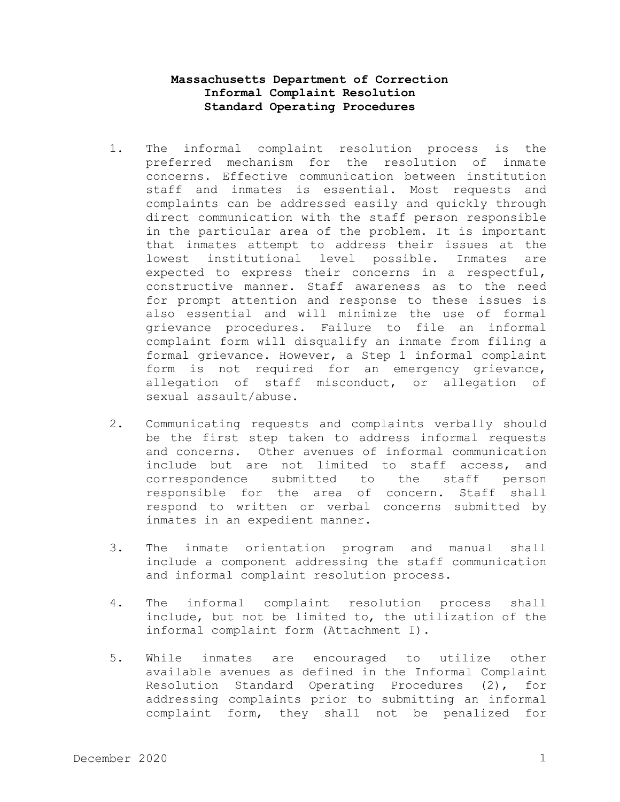## **Massachusetts Department of Correction Informal Complaint Resolution Standard Operating Procedures**

- 1. The informal complaint resolution process is the preferred mechanism for the resolution of inmate concerns. Effective communication between institution staff and inmates is essential. Most requests and complaints can be addressed easily and quickly through direct communication with the staff person responsible in the particular area of the problem. It is important that inmates attempt to address their issues at the lowest institutional level possible. Inmates are expected to express their concerns in a respectful, constructive manner. Staff awareness as to the need for prompt attention and response to these issues is also essential and will minimize the use of formal grievance procedures. Failure to file an informal complaint form will disqualify an inmate from filing a formal grievance. However, a Step 1 informal complaint form is not required for an emergency grievance, allegation of staff misconduct, or allegation of sexual assault/abuse.
- 2. Communicating requests and complaints verbally should be the first step taken to address informal requests and concerns. Other avenues of informal communication include but are not limited to staff access, and correspondence submitted to the staff person responsible for the area of concern. Staff shall respond to written or verbal concerns submitted by inmates in an expedient manner.
- 3. The inmate orientation program and manual shall include a component addressing the staff communication and informal complaint resolution process.
- 4. The informal complaint resolution process shall include, but not be limited to, the utilization of the informal complaint form (Attachment I).
- 5. While inmates are encouraged to utilize other available avenues as defined in the Informal Complaint Resolution Standard Operating Procedures (2), for addressing complaints prior to submitting an informal complaint form, they shall not be penalized for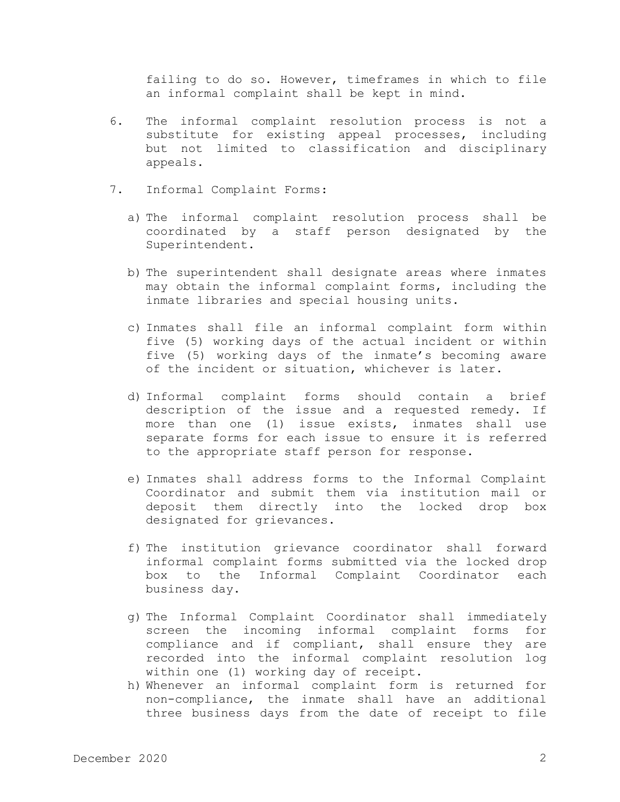failing to do so. However, timeframes in which to file an informal complaint shall be kept in mind.

- 6. The informal complaint resolution process is not a substitute for existing appeal processes, including but not limited to classification and disciplinary appeals.
- 7. Informal Complaint Forms:
	- a) The informal complaint resolution process shall be coordinated by a staff person designated by the Superintendent.
	- b) The superintendent shall designate areas where inmates may obtain the informal complaint forms, including the inmate libraries and special housing units.
	- c) Inmates shall file an informal complaint form within five (5) working days of the actual incident or within five (5) working days of the inmate's becoming aware of the incident or situation, whichever is later.
	- d) Informal complaint forms should contain a brief description of the issue and a requested remedy. If more than one (1) issue exists, inmates shall use separate forms for each issue to ensure it is referred to the appropriate staff person for response.
	- e) Inmates shall address forms to the Informal Complaint Coordinator and submit them via institution mail or deposit them directly into the locked drop box designated for grievances.
	- f) The institution grievance coordinator shall forward informal complaint forms submitted via the locked drop box to the Informal Complaint Coordinator each business day.
	- g) The Informal Complaint Coordinator shall immediately screen the incoming informal complaint forms for compliance and if compliant, shall ensure they are recorded into the informal complaint resolution log within one (1) working day of receipt.
	- h) Whenever an informal complaint form is returned for non-compliance, the inmate shall have an additional three business days from the date of receipt to file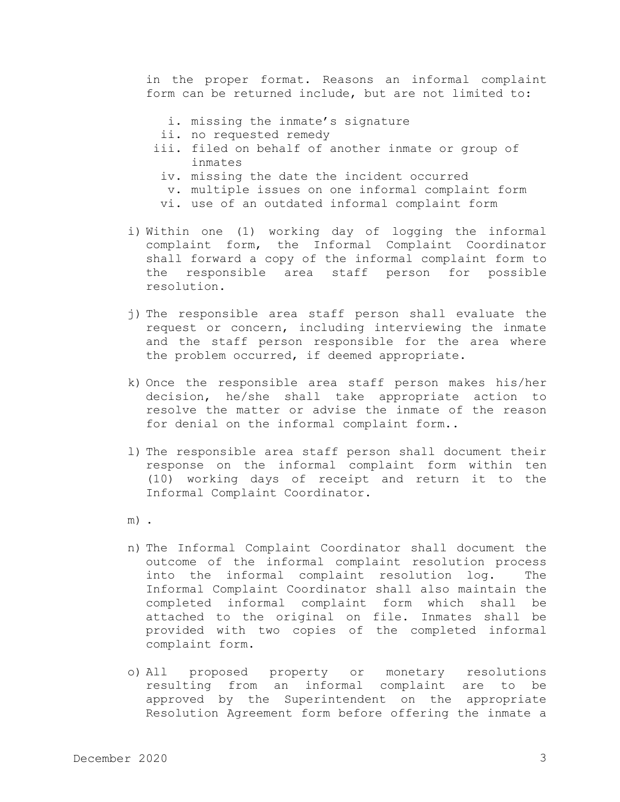in the proper format. Reasons an informal complaint form can be returned include, but are not limited to:

- i. missing the inmate's signature
- ii. no requested remedy
- iii. filed on behalf of another inmate or group of inmates
- iv. missing the date the incident occurred
- v. multiple issues on one informal complaint form
- vi. use of an outdated informal complaint form
- i) Within one (1) working day of logging the informal complaint form, the Informal Complaint Coordinator shall forward a copy of the informal complaint form to the responsible area staff person for possible resolution.
- j) The responsible area staff person shall evaluate the request or concern, including interviewing the inmate and the staff person responsible for the area where the problem occurred, if deemed appropriate.
- k) Once the responsible area staff person makes his/her decision, he/she shall take appropriate action to resolve the matter or advise the inmate of the reason for denial on the informal complaint form..
- l) The responsible area staff person shall document their response on the informal complaint form within ten (10) working days of receipt and return it to the Informal Complaint Coordinator.
- m) .
- n) The Informal Complaint Coordinator shall document the outcome of the informal complaint resolution process into the informal complaint resolution log. The Informal Complaint Coordinator shall also maintain the completed informal complaint form which shall be attached to the original on file. Inmates shall be provided with two copies of the completed informal complaint form.
- o) All proposed property or monetary resolutions resulting from an informal complaint are to be approved by the Superintendent on the appropriate Resolution Agreement form before offering the inmate a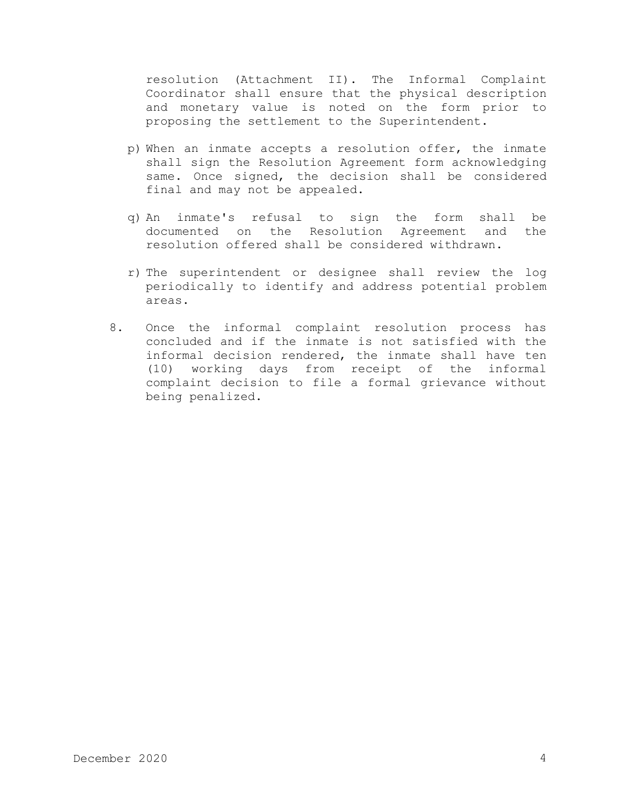resolution (Attachment II). The Informal Complaint Coordinator shall ensure that the physical description and monetary value is noted on the form prior to proposing the settlement to the Superintendent.

- p) When an inmate accepts a resolution offer, the inmate shall sign the Resolution Agreement form acknowledging same. Once signed, the decision shall be considered final and may not be appealed.
- q) An inmate's refusal to sign the form shall be documented on the Resolution Agreement and the resolution offered shall be considered withdrawn.
- r) The superintendent or designee shall review the log periodically to identify and address potential problem areas.
- 8. Once the informal complaint resolution process has concluded and if the inmate is not satisfied with the informal decision rendered, the inmate shall have ten (10) working days from receipt of the informal complaint decision to file a formal grievance without being penalized.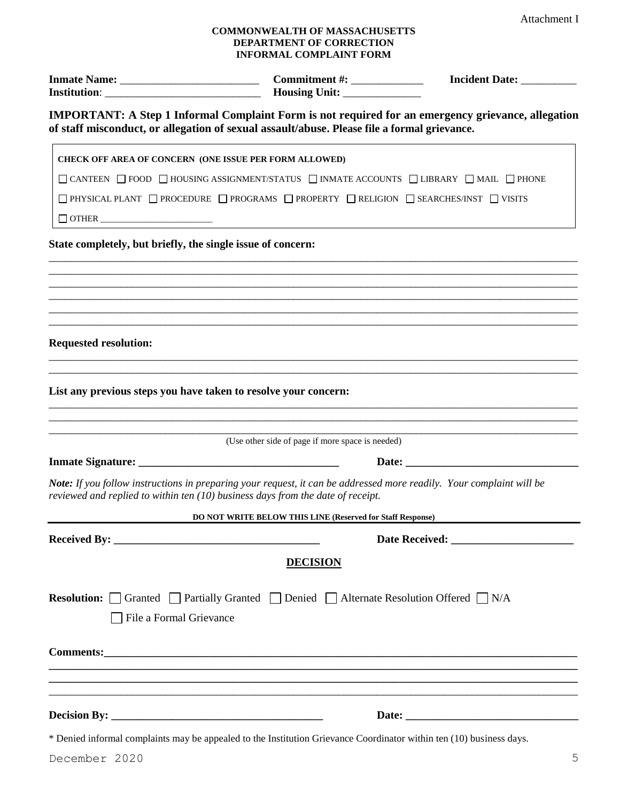## **COMMONWEALTH OF MASSACHUSETTS DEPARTMENT OF CORRECTION INFORMAL COMPLAINT FORM**

|                                                                                                                                                                                                                                                                                       | <b>INFORMAL COMPLAINT FORM</b>                                                                                                                                                                           |  |
|---------------------------------------------------------------------------------------------------------------------------------------------------------------------------------------------------------------------------------------------------------------------------------------|----------------------------------------------------------------------------------------------------------------------------------------------------------------------------------------------------------|--|
|                                                                                                                                                                                                                                                                                       |                                                                                                                                                                                                          |  |
|                                                                                                                                                                                                                                                                                       | <b>IMPORTANT:</b> A Step 1 Informal Complaint Form is not required for an emergency grievance, allegation<br>of staff misconduct, or allegation of sexual assault/abuse. Please file a formal grievance. |  |
|                                                                                                                                                                                                                                                                                       | CHECK OFF AREA OF CONCERN (ONE ISSUE PER FORM ALLOWED)                                                                                                                                                   |  |
|                                                                                                                                                                                                                                                                                       | $\Box$ CANTEEN $\Box$ FOOD $\Box$ HOUSING ASSIGNMENT/STATUS $\Box$ INMATE ACCOUNTS $\Box$ LIBRARY $\Box$ MAIL $\Box$ PHONE                                                                               |  |
|                                                                                                                                                                                                                                                                                       | $\Box$ PHYSICAL PLANT $\Box$ PROCEDURE $\Box$ PROGRAMS $\Box$ PROPERTY $\Box$ RELIGION $\Box$ SEARCHES/INST $\Box$ VISITS                                                                                |  |
| $\begin{tabular}{ c c c c } \hline \quad \quad & \quad \quad & \quad \quad & \quad \quad \\ \hline \quad \quad & \quad \quad & \quad \quad & \quad \quad \\ \hline \end{tabular} \begin{tabular}{ c c c c c } \hline \quad \quad & \quad \quad & \quad \quad \\ \hline \end{tabular}$ |                                                                                                                                                                                                          |  |
| <b>Requested resolution:</b>                                                                                                                                                                                                                                                          |                                                                                                                                                                                                          |  |
|                                                                                                                                                                                                                                                                                       | List any previous steps you have taken to resolve your concern:                                                                                                                                          |  |
|                                                                                                                                                                                                                                                                                       | (Use other side of page if more space is needed)                                                                                                                                                         |  |
|                                                                                                                                                                                                                                                                                       |                                                                                                                                                                                                          |  |

*Note: If you follow instructions in preparing your request, it can be addressed more readily. Your complaint will be reviewed and replied to within ten (10) business days from the date of receipt.*

| DO NOT WRITE BELOW THIS LINE (Reserved for Staff Response) |                                                                                                                                                                                                                                                                                                                                                                                                                              |  |
|------------------------------------------------------------|------------------------------------------------------------------------------------------------------------------------------------------------------------------------------------------------------------------------------------------------------------------------------------------------------------------------------------------------------------------------------------------------------------------------------|--|
|                                                            |                                                                                                                                                                                                                                                                                                                                                                                                                              |  |
|                                                            | <b>DECISION</b>                                                                                                                                                                                                                                                                                                                                                                                                              |  |
| File a Formal Grievance                                    | <b>Resolution:</b> Granted Partially Granted Denied Alternate Resolution Offered N/A                                                                                                                                                                                                                                                                                                                                         |  |
|                                                            |                                                                                                                                                                                                                                                                                                                                                                                                                              |  |
|                                                            | $\mathbf{r} = \mathbf{r} + \mathbf{r} + \mathbf{r} + \mathbf{r} + \mathbf{r} + \mathbf{r} + \mathbf{r} + \mathbf{r} + \mathbf{r} + \mathbf{r} + \mathbf{r} + \mathbf{r} + \mathbf{r} + \mathbf{r} + \mathbf{r} + \mathbf{r} + \mathbf{r} + \mathbf{r} + \mathbf{r} + \mathbf{r} + \mathbf{r} + \mathbf{r} + \mathbf{r} + \mathbf{r} + \mathbf{r} + \mathbf{r} + \mathbf{r} + \mathbf{r} + \mathbf{r} + \mathbf{r} + \mathbf$ |  |

\* Denied informal complaints may be appealed to the Institution Grievance Coordinator within ten (10) business days.